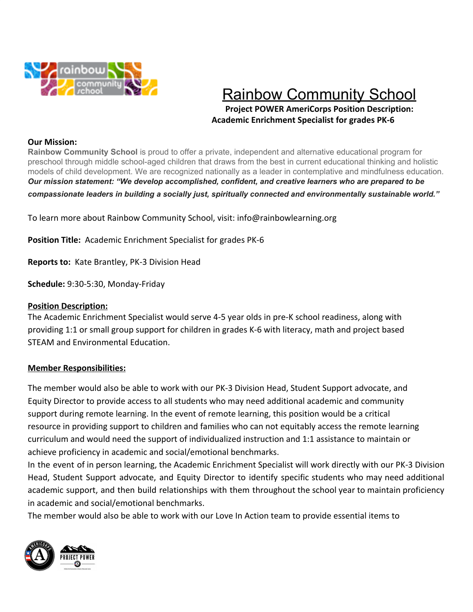

# Rainbow Community School

**Project POWER AmeriCorps Position Description: Academic Enrichment Specialist for grades PK-6**

### **Our Mission:**

**Rainbow Community School** is proud to offer a private, independent and alternative educational program for preschool through middle school-aged children that draws from the best in current educational thinking and holistic models of child development. We are recognized nationally as a leader in contemplative and mindfulness education. *Our mission statement: "We develop accomplished, confident, and creative learners who are prepared to be compassionate leaders in building a socially just, spiritually connected and environmentally sustainable world."*

To learn more about Rainbow Community School, visit: info@rainbowlearning.org

**Position Title:** Academic Enrichment Specialist for grades PK-6

**Reports to:** Kate Brantley, PK-3 Division Head

**Schedule:** 9:30-5:30, Monday-Friday

### **Position Description:**

The Academic Enrichment Specialist would serve 4-5 year olds in pre-K school readiness, along with providing 1:1 or small group support for children in grades K-6 with literacy, math and project based STEAM and Environmental Education.

### **Member Responsibilities:**

The member would also be able to work with our PK-3 Division Head, Student Support advocate, and Equity Director to provide access to all students who may need additional academic and community support during remote learning. In the event of remote learning, this position would be a critical resource in providing support to children and families who can not equitably access the remote learning curriculum and would need the support of individualized instruction and 1:1 assistance to maintain or achieve proficiency in academic and social/emotional benchmarks.

In the event of in person learning, the Academic Enrichment Specialist will work directly with our PK-3 Division Head, Student Support advocate, and Equity Director to identify specific students who may need additional academic support, and then build relationships with them throughout the school year to maintain proficiency in academic and social/emotional benchmarks.

The member would also be able to work with our Love In Action team to provide essential items to